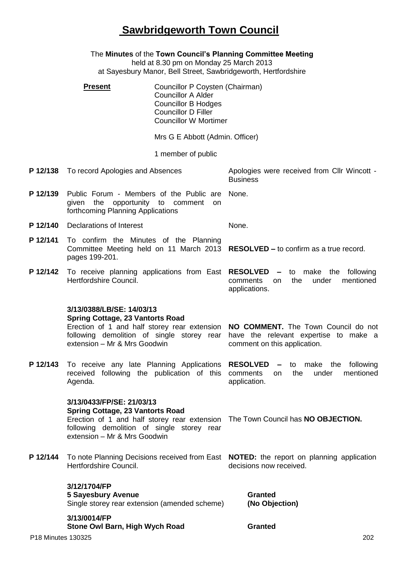## **Sawbridgeworth Town Council**

|                                 | The Minutes of the Town Council's Planning Committee Meeting<br>held at 8.30 pm on Monday 25 March 2013<br>at Sayesbury Manor, Bell Street, Sawbridgeworth, Hertfordshire |                                                                                                                                                          |                                                                                                                                                                  |  |  |
|---------------------------------|---------------------------------------------------------------------------------------------------------------------------------------------------------------------------|----------------------------------------------------------------------------------------------------------------------------------------------------------|------------------------------------------------------------------------------------------------------------------------------------------------------------------|--|--|
|                                 | <b>Present</b>                                                                                                                                                            | Councillor P Coysten (Chairman)<br><b>Councillor A Alder</b><br><b>Councillor B Hodges</b><br><b>Councillor D Filler</b><br><b>Councillor W Mortimer</b> |                                                                                                                                                                  |  |  |
| Mrs G E Abbott (Admin. Officer) |                                                                                                                                                                           |                                                                                                                                                          |                                                                                                                                                                  |  |  |
|                                 |                                                                                                                                                                           |                                                                                                                                                          |                                                                                                                                                                  |  |  |
|                                 | <b>P 12/138</b> To record Apologies and Absences                                                                                                                          |                                                                                                                                                          | Apologies were received from CIIr Wincott -<br><b>Business</b>                                                                                                   |  |  |
| P 12/139                        | Public Forum - Members of the Public are<br>given the opportunity to comment<br>forthcoming Planning Applications                                                         | on.                                                                                                                                                      | None.                                                                                                                                                            |  |  |
| P 12/140                        | Declarations of Interest                                                                                                                                                  |                                                                                                                                                          | None.                                                                                                                                                            |  |  |
| P 12/141                        | To confirm the Minutes of the Planning<br>pages 199-201.                                                                                                                  |                                                                                                                                                          | Committee Meeting held on 11 March 2013 RESOLVED - to confirm as a true record.                                                                                  |  |  |
| P 12/142                        | Hertfordshire Council.                                                                                                                                                    |                                                                                                                                                          | To receive planning applications from East RESOLVED - to make the<br>following<br>comments<br>the<br>under<br>mentioned<br>on.<br>applications.                  |  |  |
|                                 | 3/13/0388/LB/SE: 14/03/13<br><b>Spring Cottage, 23 Vantorts Road</b><br>following demolition of single storey rear<br>extension - Mr & Mrs Goodwin                        |                                                                                                                                                          | Erection of 1 and half storey rear extension <b>NO COMMENT.</b> The Town Council do not<br>have the relevant expertise to make a<br>comment on this application. |  |  |
| P 12/143                        | To receive any late Planning Applications RESOLVED -<br>received following the publication of this comments<br>Agenda.                                                    |                                                                                                                                                          | to make the following<br>the<br>under<br>mentioned<br>on.<br>application.                                                                                        |  |  |
|                                 | 3/13/0433/FP/SE: 21/03/13<br><b>Spring Cottage, 23 Vantorts Road</b><br>following demolition of single storey rear<br>extension - Mr & Mrs Goodwin                        |                                                                                                                                                          | Erection of 1 and half storey rear extension The Town Council has NO OBJECTION.                                                                                  |  |  |
| P 12/144                        | Hertfordshire Council.                                                                                                                                                    |                                                                                                                                                          | To note Planning Decisions received from East <b>NOTED:</b> the report on planning application<br>decisions now received.                                        |  |  |
|                                 | 3/12/1704/FP<br><b>5 Sayesbury Avenue</b><br>Single storey rear extension (amended scheme)                                                                                |                                                                                                                                                          | <b>Granted</b><br>(No Objection)                                                                                                                                 |  |  |
| P18 Minutes 130325              | 3/13/0014/FP<br>Stone Owl Barn, High Wych Road                                                                                                                            |                                                                                                                                                          | <b>Granted</b><br>202                                                                                                                                            |  |  |